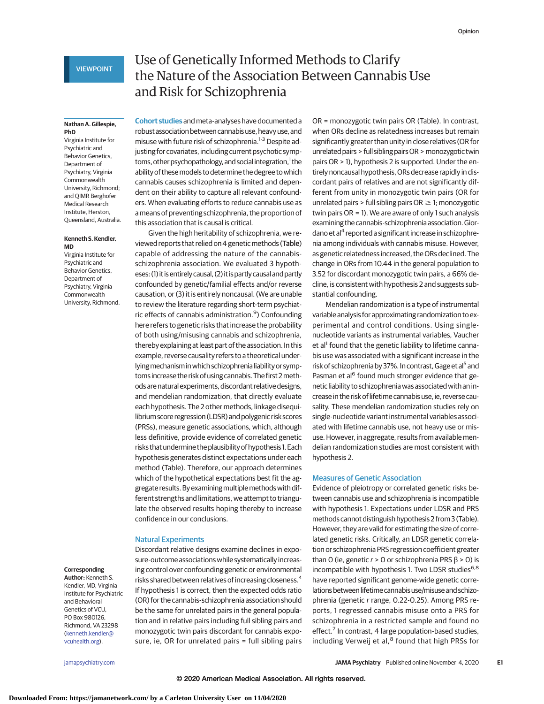# **Nathan A. Gillespie, PhD**

Virginia Institute for Psychiatric and Behavior Genetics, Department of Psychiatry, Virginia Commonwealth University, Richmond; and QIMR Berghofer Medical Research Institute, Herston, Queensland, Australia.

## **Kenneth S. Kendler, MD**

Virginia Institute for Psychiatric and Behavior Genetics, Department of Psychiatry, Virginia Commonwealth University, Richmond.

# **Corresponding**

**Author:** Kenneth S. Kendler, MD, Virginia Institute for Psychiatric and Behavioral Genetics of VCU, PO Box 980126, Richmond, VA 23298 [\(kenneth.kendler@](mailto:kenneth.kendler@vcuhealth.org) [vcuhealth.org\)](mailto:kenneth.kendler@vcuhealth.org).

# Use of Genetically Informed Methods to Clarify the Nature of the Association Between Cannabis Use and Risk for Schizophrenia

**Cohort studies** and meta-analyses have documented a robust association between cannabis use, heavy use, and misuse with future risk of schizophrenia.<sup>1-3</sup> Despite adjusting for covariates, including current psychotic symptoms, other psychopathology, and social integration,<sup>1</sup> the ability of thesemodels to determine the degree to which cannabis causes schizophrenia is limited and dependent on their ability to capture all relevant confounders. When evaluating efforts to reduce cannabis use as a means of preventing schizophrenia, the proportion of this association that is causal is critical.

Given the high heritability of schizophrenia, we reviewed reports that relied on 4 genetic methods (Table) capable of addressing the nature of the cannabisschizophrenia association. We evaluated 3 hypotheses: (1) it isentirely causal, (2) it is partly causaland partly confounded by genetic/familial effects and/or reverse causation, or (3) it is entirely noncausal. (We are unable to review the literature regarding short-term psychiatric effects of cannabis administration.<sup>9</sup>) Confounding here refers to genetic risks that increase the probability of both using/misusing cannabis and schizophrenia, thereby explaining at least part of the association. In this example, reverse causality refers to a theoretical underlying mechanism in which schizophrenia liability or symptoms increase the risk of using cannabis. The first 2methods are naturalexperiments, discordant relative designs, and mendelian randomization, that directly evaluate each hypothesis. The 2 other methods, linkage disequilibrium score regression (LDSR) and polygenic risk scores (PRSs), measure genetic associations, which, although less definitive, provide evidence of correlated genetic risks that undermine the plausibility of hypothesis 1. Each hypothesis generates distinct expectations under each method (Table). Therefore, our approach determines which of the hypothetical expectations best fit the aggregate results. Byexaminingmultiplemethods with different strengths and limitations, we attempt to triangulate the observed results hoping thereby to increase confidence in our conclusions.

# Natural Experiments

Discordant relative designs examine declines in exposure-outcome associations while systematically increasing control over confounding genetic or environmental risks shared between relatives of increasing closeness.4 If hypothesis 1 is correct, then the expected odds ratio (OR) for the cannabis-schizophrenia association should be the same for unrelated pairs in the general population and in relative pairs including full sibling pairs and monozygotic twin pairs discordant for cannabis exposure, ie, OR for unrelated pairs = full sibling pairs OR = monozygotic twin pairs OR (Table). In contrast, when ORs decline as relatedness increases but remain significantly greater than unity in close relatives (OR for unrelated pairs > full sibling pairsOR > monozygotic twin pairs OR > 1), hypothesis 2 is supported. Under the entirely noncausal hypothesis,ORs decrease rapidly in discordant pairs of relatives and are not significantly different from unity in monozygotic twin pairs (OR for unrelated pairs > full sibling pairs  $OR \geq 1$ ; monozygotic twin pairs OR = 1). We are aware of only 1 such analysis examining the cannabis-schizophrenia association.Giordano et al<sup>4</sup> reported a significant increase in schizophrenia among individuals with cannabis misuse. However, as genetic relatedness increased, the ORs declined. The change in ORs from 10.44 in the general population to 3.52 for discordant monozygotic twin pairs, a 66% decline, is consistent with hypothesis 2 and suggests substantial confounding.

Mendelian randomization is a type of instrumental variable analysis for approximating randomization to experimental and control conditions. Using singlenucleotide variants as instrumental variables, Vaucher et al<sup>1</sup> found that the genetic liability to lifetime cannabis use was associated with a significant increase in the risk of schizophrenia by 37%. In contrast, Gage et al<sup>5</sup> and Pasman et al<sup>6</sup> found much stronger evidence that genetic liability to schizophrenia was associated with an increase in the risk of lifetime cannabis use, ie, reverse causality. These mendelian randomization studies rely on single-nucleotide variant instrumental variables associated with lifetime cannabis use, not heavy use or misuse. However, in aggregate, results from available mendelian randomization studies are most consistent with hypothesis 2.

# Measures of Genetic Association

Evidence of pleiotropy or correlated genetic risks between cannabis use and schizophrenia is incompatible with hypothesis 1. Expectations under LDSR and PRS methods cannot distinguish hypothesis 2 from 3 (Table). However, they are valid for estimating the size of correlated genetic risks. Critically, an LDSR genetic correlation or schizophrenia PRS regression coefficient greater than 0 (ie, genetic  $r > 0$  or schizophrenia PRS  $\beta > 0$ ) is incompatible with hypothesis 1. Two LDSR studies<sup>6,8</sup> have reported significant genome-wide genetic correlations between lifetime cannabis use/misuse and schizophrenia (genetic r range, 0.22-0.25). Among PRS reports, 1 regressed cannabis misuse onto a PRS for schizophrenia in a restricted sample and found no effect.<sup>7</sup> In contrast, 4 large population-based studies, including Verweij et al,<sup>8</sup> found that high PRSs for